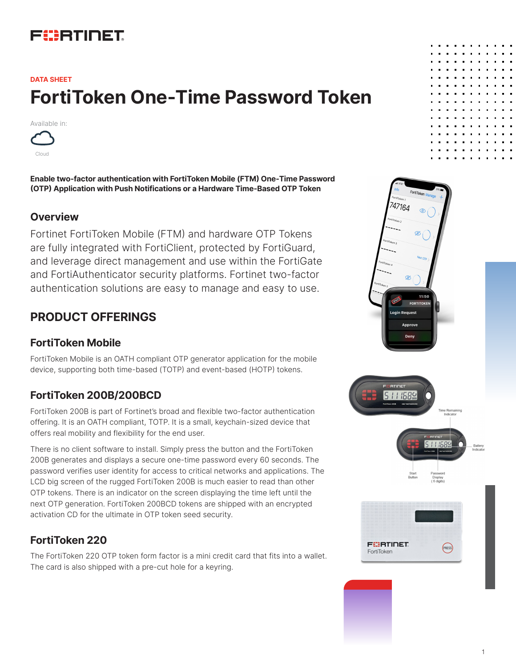# FURTIDET

# **FortiToken One-Time Password Token DATA SHEET**

Available in:



**Enable two-factor authentication with FortiToken Mobile (FTM) One-Time Password (OTP) Application with Push Notifications or a Hardware Time-Based OTP Token** 

#### **Overview**

Fortinet FortiToken Mobile (FTM) and hardware OTP Tokens are fully integrated with FortiClient, protected by FortiGuard, and leverage direct management and use within the FortiGate and FortiAuthenticator security platforms. Fortinet two-factor authentication solutions are easy to manage and easy to use.

### **PRODUCT OFFERINGS**

#### **FortiToken Mobile**

FortiToken Mobile is an OATH compliant OTP generator application for the mobile device, supporting both time-based (TOTP) and event-based (HOTP) tokens.

### **FortiToken 200B/200BCD**

FortiToken 200B is part of Fortinet's broad and flexible two-factor authentication offering. It is an OATH compliant, TOTP. It is a small, keychain-sized device that offers real mobility and flexibility for the end user.

There is no client software to install. Simply press the button and the FortiToken 200B generates and displays a secure one-time password every 60 seconds. The password verifies user identity for access to critical networks and applications. The LCD big screen of the rugged FortiToken 200B is much easier to read than other OTP tokens. There is an indicator on the screen displaying the time left until the next OTP generation. FortiToken 200BCD tokens are shipped with an encrypted activation CD for the ultimate in OTP token seed security.

### **FortiToken 220**

The FortiToken 220 OTP token form factor is a mini credit card that fits into a wallet. The card is also shipped with a pre-cut hole for a keyring.

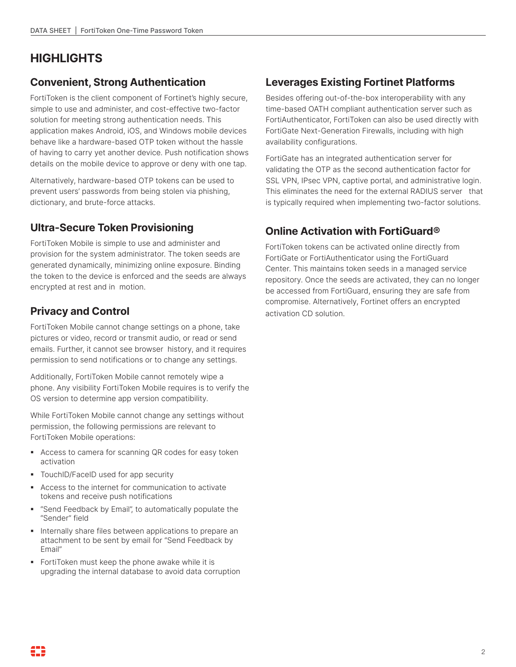## **HIGHLIGHTS**

### **Convenient, Strong Authentication**

FortiToken is the client component of Fortinet's highly secure, simple to use and administer, and cost-effective two-factor solution for meeting strong authentication needs. This application makes Android, iOS, and Windows mobile devices behave like a hardware-based OTP token without the hassle of having to carry yet another device. Push notification shows details on the mobile device to approve or deny with one tap.

Alternatively, hardware-based OTP tokens can be used to prevent users' passwords from being stolen via phishing, dictionary, and brute-force attacks.

#### **Ultra-Secure Token Provisioning**

FortiToken Mobile is simple to use and administer and provision for the system administrator. The token seeds are generated dynamically, minimizing online exposure. Binding the token to the device is enforced and the seeds are always encrypted at rest and in motion.

#### **Privacy and Control**

FortiToken Mobile cannot change settings on a phone, take pictures or video, record or transmit audio, or read or send emails. Further, it cannot see browser history, and it requires permission to send notifications or to change any settings.

Additionally, FortiToken Mobile cannot remotely wipe a phone. Any visibility FortiToken Mobile requires is to verify the OS version to determine app version compatibility.

While FortiToken Mobile cannot change any settings without permission, the following permissions are relevant to FortiToken Mobile operations:

- Access to camera for scanning QR codes for easy token activation
- **TouchID/FaceID used for app security**
- § Access to the internet for communication to activate tokens and receive push notifications
- § "Send Feedback by Email", to automatically populate the "Sender" field
- **•** Internally share files between applications to prepare an attachment to be sent by email for "Send Feedback by Email"
- § FortiToken must keep the phone awake while it is upgrading the internal database to avoid data corruption

### **Leverages Existing Fortinet Platforms**

Besides offering out-of-the-box interoperability with any time-based OATH compliant authentication server such as FortiAuthenticator, FortiToken can also be used directly with FortiGate Next-Generation Firewalls, including with high availability configurations.

FortiGate has an integrated authentication server for validating the OTP as the second authentication factor for SSL VPN, IPsec VPN, captive portal, and administrative login. This eliminates the need for the external RADIUS server that is typically required when implementing two-factor solutions.

### **Online Activation with FortiGuard®**

FortiToken tokens can be activated online directly from FortiGate or FortiAuthenticator using the FortiGuard Center. This maintains token seeds in a managed service repository. Once the seeds are activated, they can no longer be accessed from FortiGuard, ensuring they are safe from compromise. Alternatively, Fortinet offers an encrypted activation CD solution.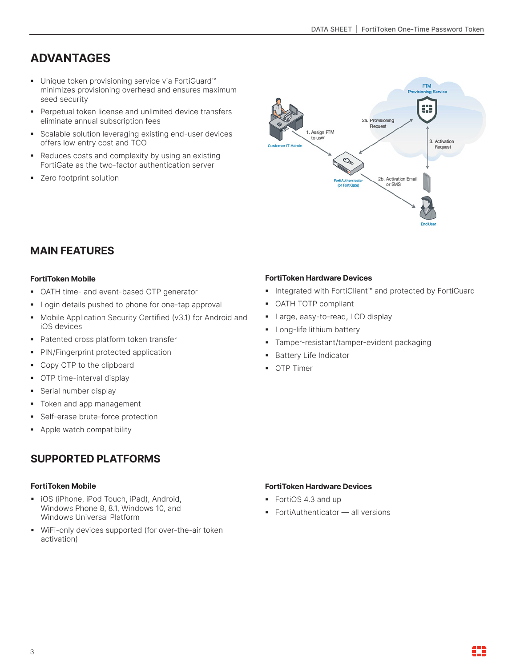# **ADVANTAGES**

- Unique token provisioning service via FortiGuard™ minimizes provisioning overhead and ensures maximum seed security
- § Perpetual token license and unlimited device transfers eliminate annual subscription fees
- § Scalable solution leveraging existing end-user devices offers low entry cost and TCO
- Reduces costs and complexity by using an existing FortiGate as the two-factor authentication server
- Zero footprint solution



#### **MAIN FEATURES**

#### **FortiToken Mobile**

- OATH time- and event-based OTP generator
- Login details pushed to phone for one-tap approval
- Mobile Application Security Certified (v3.1) for Android and iOS devices
- Patented cross platform token transfer
- § PIN/Fingerprint protected application
- § Copy OTP to the clipboard
- OTP time-interval display
- § Serial number display
- Token and app management
- **•** Self-erase brute-force protection
- § Apple watch compatibility

#### **SUPPORTED PLATFORMS**

#### **FortiToken Mobile**

- iOS (iPhone, iPod Touch, iPad), Android, Windows Phone 8, 8.1, Windows 10, and Windows Universal Platform
- § WiFi-only devices supported (for over-the-air token activation)

#### **FortiToken Hardware Devices**

- Integrated with FortiClient™ and protected by FortiGuard
- § OATH TOTP compliant
- § Large, easy-to-read, LCD display
- **■** Long-life lithium battery
- § Tamper-resistant/tamper-evident packaging
- Battery Life Indicator
- § OTP Timer

#### **FortiToken Hardware Devices**

- § FortiOS 4.3 and up
- FortiAuthenticator all versions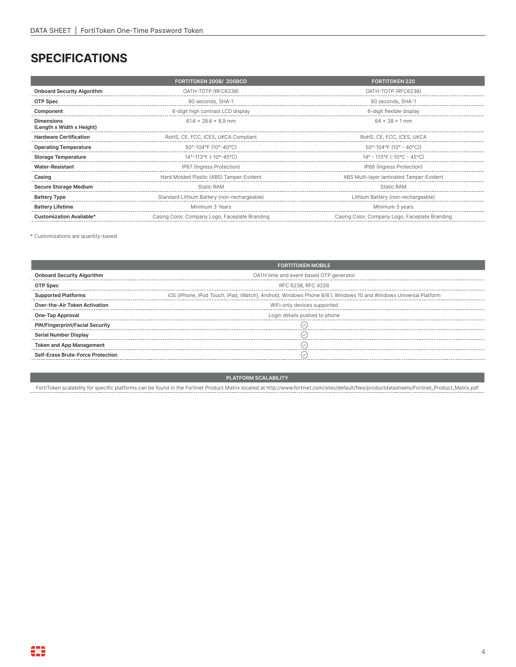## **SPECIFICATIONS**

|                                                | <b>FORTITOKEN 200B/ 200BCD</b>                 | <b>FORTITOKEN 220</b>                          |  |
|------------------------------------------------|------------------------------------------------|------------------------------------------------|--|
| <b>Onboard Security Algorithm</b>              | OATH-TOTP (RFC6238)                            | OATH-TOTP (REC6238)                            |  |
| OTP Spec                                       | 60 seconds, SHA-1                              | 60 seconds, SHA-1                              |  |
| Component                                      | 6-digit high contrast LCD display              | 6-digit flexible display                       |  |
| <b>Dimensions</b><br>(Length x Width x Height) | $61.6 \times 28.6 \times 8.9$ mm               | $64 \times 38 \times 1$ mm                     |  |
| <b>Hardware Certification</b>                  | RoHS, CE, FCC, ICES, UKCA Compliant            | RoHS, CE, FCC, ICES, UKCA                      |  |
| <b>Operating Temperature</b>                   | 50°-104°F (10°-40°C)                           | $50^{\circ}$ -104°F (10° - 40°C))              |  |
| <b>Storage Temperature</b>                     | 14°-113°F (-10°-45°C)                          | $14^{\circ}$ - 113°F (-10°C - 45°C)            |  |
| Water-Resistant                                | IP67 (Ingress Protection)                      | IP68 (Ingress Protection)                      |  |
| Casing                                         | Hard Molded Plastic (ABS) Tamper-Evident       | ABS Multi-layer laminated Tamper-Evident       |  |
| <b>Secure Storage Medium</b>                   | Static RAM                                     | <b>Static RAM</b>                              |  |
| <b>Battery Type</b>                            | Standard Lithium Battery (non-rechargeable)    | Lithium Battery (non-rechargeable)             |  |
| <b>Battery Lifetime</b>                        | Minimum 3 Years<br>Minimum 3 years             |                                                |  |
| <b>Customization Available*</b>                | Casing Color, Company Logo, Faceplate Branding | Casing Color, Company Logo, Faceplate Branding |  |

\* Customizations are quantity-based

|                                        | <b>FORTITOKEN MOBILE</b>                                                                                        |  |
|----------------------------------------|-----------------------------------------------------------------------------------------------------------------|--|
| <b>Onboard Security Algorithm</b>      | OATH time and event based OTP generator                                                                         |  |
|                                        | RFC 6238, RFC 4226                                                                                              |  |
| <b>Supported Platforms</b>             | iOS (iPhone, iPod Touch, iPad, iWatch), Android, Windows Phone 8/8.1, Windows 10 and Windows Universal Platform |  |
| <b>Over-the-Air Token Activation</b>   | WiFi-only devices supported                                                                                     |  |
| One-Tap Approval                       | Login details pushed to phone                                                                                   |  |
| <b>PIN/Fingerprint/Facial Security</b> |                                                                                                                 |  |
| Serial Number Display                  |                                                                                                                 |  |
| <b>Token and App Management</b>        |                                                                                                                 |  |
| Self-Erase Brute-Force Protection      |                                                                                                                 |  |
|                                        |                                                                                                                 |  |

**PLATFORM SCALABILITY**

FortiToken scalability for specific platforms can be found in the Fortinet Product Matrix located at http://www.fortinet.com/sites/default/files/productdatasheets/Fortinet\_Product\_Matrix.pdf